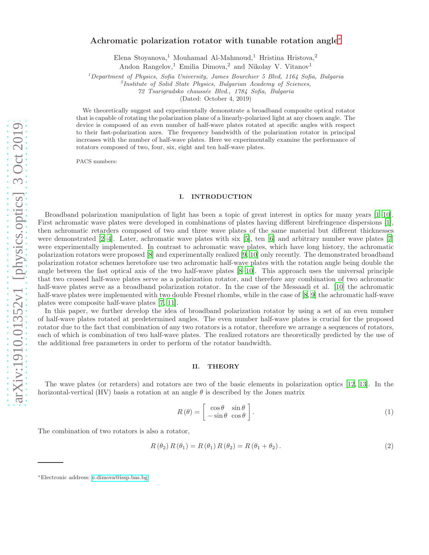# Achromatic polarization rotator with tunable rotation angle[∗](#page-0-0)

Elena Stoyanova,<sup>1</sup> Mouhamad Al-Mahmoud,<sup>1</sup> Hristina Hristova,<sup>2</sup>

Andon Rangelov,<sup>1</sup> Emilia Dimova,<sup>2</sup> and Nikolay V. Vitanov<sup>1</sup>

<sup>1</sup>*Department of Physics, Sofia University, James Bourchier 5 Blvd, 1164 Sofia, Bulgaria*

2 *Institute of Solid State Physics, Bulgarian Academy of Sciences,*

*72 Tsarigradsko chauss´ee Blvd., 1784 Sofia, Bulgaria*

(Dated: October 4, 2019)

We theoretically suggest and experimentally demonstrate a broadband composite optical rotator that is capable of rotating the polarization plane of a linearly-polarized light at any chosen angle. The device is composed of an even number of half-wave plates rotated at specific angles with respect to their fast-polarization axes. The frequency bandwidth of the polarization rotator in principal increases with the number of half-wave plates. Here we experimentally examine the performance of rotators composed of two, four, six, eight and ten half-wave plates.

PACS numbers:

# I. INTRODUCTION

Broadband polarization manipulation of light has been a topic of great interest in optics for many years [\[1](#page-5-0)[–10\]](#page-6-0). First achromatic wave plates were developed in combinations of plates having different birefringence dispersions [\[1\]](#page-5-0), then achromatic retarders composed of two and three wave plates of the same material but different thicknesses were demonstrated [\[2](#page-5-1)[–4\]](#page-5-2). Later, achromatic wave plates with six [\[5\]](#page-5-3), ten [\[6](#page-5-4)] and arbitrary number wave plates [\[7](#page-5-5)] were experimentally implemented. In contrast to achromatic wave plates, which have long history, the achromatic polarization rotators were proposed [\[8](#page-6-1)] and experimentally realized [\[9,](#page-6-2) [10\]](#page-6-0) only recently. The demonstrated broadband polarization rotator schemes heretofore use two achromatic half-wave plates with the rotation angle being double the angle between the fast optical axis of the two half-wave plates [\[8](#page-6-1)[–10\]](#page-6-0). This approach uses the universal principle that two crossed half-wave plates serve as a polarization rotator, and therefore any combination of two achromatic half-wave plates serve as a broadband polarization rotator. In the case of the Messaadi et al. [\[10\]](#page-6-0) the achromatic half-wave plates were implemented with two double Fresnel rhombs, while in the case of [\[8,](#page-6-1) [9](#page-6-2)] the achromatic half-wave plates were composite half-wave plates [\[7](#page-5-5), [11](#page-6-3)].

In this paper, we further develop the idea of broadband polarization rotator by using a set of an even number of half-wave plates rotated at predetermined angles. The even number half-wave plates is crucial for the proposed rotator due to the fact that combination of any two rotators is a rotator, therefore we arrange a sequences of rotators, each of which is combination of two half-wave plates. The realized rotators are theoretically predicted by the use of the additional free parameters in order to perform of the rotator bandwidth.

## II. THEORY

The wave plates (or retarders) and rotators are two of the basic elements in polarization optics [\[12](#page-6-4), [13\]](#page-6-5). In the horizontal-vertical (HV) basis a rotation at an angle  $\theta$  is described by the Jones matrix

$$
R(\theta) = \begin{bmatrix} \cos \theta & \sin \theta \\ -\sin \theta & \cos \theta \end{bmatrix}.
$$
 (1)

The combination of two rotators is also a rotator,

<span id="page-0-1"></span>
$$
R(\theta_2) R(\theta_1) = R(\theta_1) R(\theta_2) = R(\theta_1 + \theta_2).
$$
\n(2)

<span id="page-0-0"></span><sup>∗</sup>Electronic address: [e.dimova@issp.bas.bg](mailto:e.dimova@issp.bas.bg)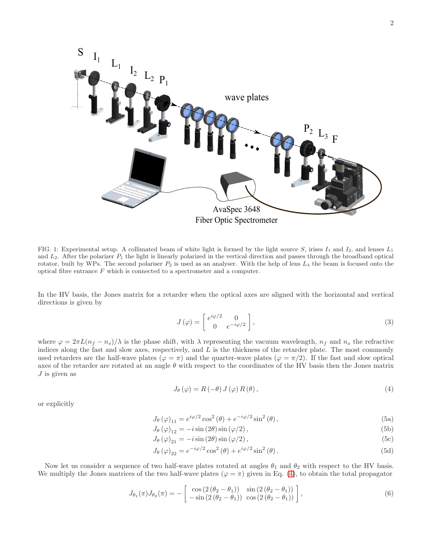

<span id="page-1-1"></span>FIG. 1: Experimental setup. A collimated beam of white light is formed by the light source S, irises  $I_1$  and  $I_2$ , and lenses  $L_1$ and  $L_2$ . After the polarizer  $P_1$  the light is linearly polarized in the vertical direction and passes through the broadband optical rotator, built by WPs. The second polariser  $P_2$  is used as an analyser. With the help of lens  $L_3$  the beam is focused onto the optical fibre entrance  $F$  which is connected to a spectrometer and a computer.

In the HV basis, the Jones matrix for a retarder when the optical axes are aligned with the horizontal and vertical directions is given by

$$
J(\varphi) = \begin{bmatrix} e^{i\varphi/2} & 0\\ 0 & e^{-i\varphi/2} \end{bmatrix},
$$
\n(3)

where  $\varphi = 2\pi L(n_f - n_s)/\lambda$  is the phase shift, with  $\lambda$  representing the vacuum wavelength,  $n_f$  and  $n_s$  the refractive indices along the fast and slow axes, respectively, and  $L$  is the thickness of the retarder plate. The most commonly used retarders are the half-wave plates ( $\varphi = \pi$ ) and the quarter-wave plates ( $\varphi = \pi/2$ ). If the fast and slow optical axes of the retarder are rotated at an angle  $\theta$  with respect to the coordinates of the HV basis then the Jones matrix  $J$  is given as

<span id="page-1-0"></span>
$$
J_{\theta}(\varphi) = R(-\theta) J(\varphi) R(\theta), \qquad (4)
$$

or explicitly

$$
J_{\theta}(\varphi)_{11} = e^{i\varphi/2} \cos^2(\theta) + e^{-i\varphi/2} \sin^2(\theta), \qquad (5a)
$$

$$
J_{\theta}(\varphi)_{12} = -i \sin(2\theta) \sin(\varphi/2), \qquad (5b)
$$

$$
J_{\theta}(\varphi)_{21} = -i\sin(2\theta)\sin(\varphi/2),\tag{5c}
$$

$$
J_{\theta}(\varphi)_{22} = e^{-i\varphi/2} \cos^{2}(\theta) + e^{i\varphi/2} \sin^{2}(\theta).
$$
\n(5d)

Now let us consider a sequence of two half-wave plates rotated at angles  $\theta_1$  and  $\theta_2$  with respect to the HV basis. We multiply the Jones matrices of the two half-wave plates ( $\varphi = \pi$ ) given in Eq. [\(4\)](#page-1-0), to obtain the total propagator

$$
J_{\theta_1}(\pi)J_{\theta_2}(\pi) = -\left[\begin{array}{cc} \cos(2(\theta_2 - \theta_1)) & \sin(2(\theta_2 - \theta_1)) \\ -\sin(2(\theta_2 - \theta_1)) & \cos(2(\theta_2 - \theta_1)) \end{array}\right],
$$
(6)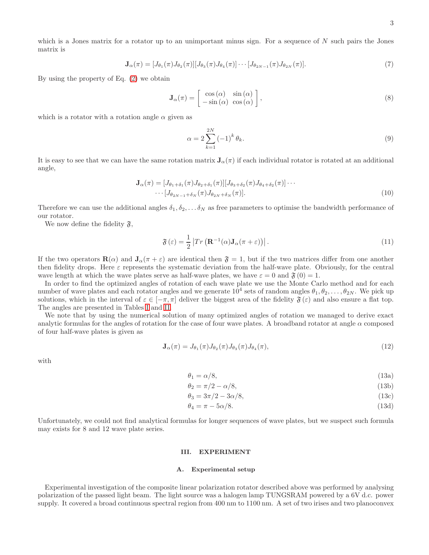which is a Jones matrix for a rotator up to an unimportant minus sign. For a sequence of  $N$  such pairs the Jones matrix is

$$
\mathbf{J}_{\alpha}(\pi) = [J_{\theta_1}(\pi)J_{\theta_2}(\pi)][J_{\theta_3}(\pi)J_{\theta_4}(\pi)]\cdots[J_{\theta_{2N-1}}(\pi)J_{\theta_{2N}}(\pi)].
$$
\n(7)

By using the property of Eq. [\(2\)](#page-0-1) we obtain

$$
\mathbf{J}_{\alpha}(\pi) = \begin{bmatrix} \cos(\alpha) & \sin(\alpha) \\ -\sin(\alpha) & \cos(\alpha) \end{bmatrix},\tag{8}
$$

which is a rotator with a rotation angle  $\alpha$  given as

$$
\alpha = 2 \sum_{k=1}^{2N} (-1)^k \theta_k.
$$
\n(9)

It is easy to see that we can have the same rotation matrix  $J_\alpha(\pi)$  if each individual rotator is rotated at an additional angle,

$$
\mathbf{J}_{\alpha}(\pi) = [J_{\theta_1 + \delta_1}(\pi)J_{\theta_2 + \delta_1}(\pi)][J_{\theta_3 + \delta_2}(\pi)J_{\theta_4 + \delta_2}(\pi)]\cdots
$$
  

$$
\cdots [J_{\theta_{2N-1} + \delta_N}(\pi)J_{\theta_{2N} + \delta_N}(\pi)].
$$
\n(10)

Therefore we can use the additional angles  $\delta_1, \delta_2, \ldots, \delta_N$  as free parameters to optimise the bandwidth performance of our rotator.

We now define the fidelity  $\mathfrak{F},$ 

$$
\mathfrak{F}\left(\varepsilon\right) = \frac{1}{2} \left| Tr\left(\mathbf{R}^{-1}(\alpha)\mathbf{J}_{\alpha}(\pi + \varepsilon)\right) \right|.
$$
\n(11)

If the two operators  $\mathbf{R}(\alpha)$  and  $\mathbf{J}_{\alpha}(\pi + \varepsilon)$  are identical then  $\mathfrak{F} = 1$ , but if the two matrices differ from one another then fidelity drops. Here  $\varepsilon$  represents the systematic deviation from the half-wave plate. Obviously, for the central wave length at which the wave plates serve as half-wave plates, we have  $\varepsilon = 0$  and  $\mathfrak{F}(0) = 1$ .

In order to find the optimized angles of rotation of each wave plate we use the Monte Carlo method and for each number of wave plates and each rotator angles and we generate  $10^4$  sets of random angles  $\theta_1, \theta_2, \ldots, \theta_{2N}$ . We pick up solutions, which in the interval of  $\varepsilon \in [-\pi, \pi]$  deliver the biggest area of the fidelity  $\mathfrak{F}(\varepsilon)$  and also ensure a flat top. The angles are presented in Tables [I](#page-3-0) and [II.](#page-4-0)

We note that by using the numerical solution of many optimized angles of rotation we managed to derive exact analytic formulas for the angles of rotation for the case of four wave plates. A broadband rotator at angle  $\alpha$  composed of four half-wave plates is given as

$$
\mathbf{J}_{\alpha}(\pi) = J_{\theta_1}(\pi) J_{\theta_2}(\pi) J_{\theta_3}(\pi) J_{\theta_4}(\pi), \qquad (12)
$$

with

$$
\theta_1 = \alpha/8,\tag{13a}
$$

$$
\theta_2 = \pi/2 - \alpha/8,\tag{13b}
$$

$$
\theta_3 = 3\pi/2 - 3\alpha/8,\tag{13c}
$$

$$
\theta_4 = \pi - 5\alpha/8. \tag{13d}
$$

Unfortunately, we could not find analytical formulas for longer sequences of wave plates, but we suspect such formula may exists for 8 and 12 wave plate series.

## III. EXPERIMENT

#### A. Experimental setup

Experimental investigation of the composite linear polarization rotator described above was performed by analysing polarization of the passed light beam. The light source was a halogen lamp TUNGSRAM powered by a 6V d.c. power supply. It covered a broad continuous spectral region from 400 nm to 1100 nm. A set of two irises and two planoconvex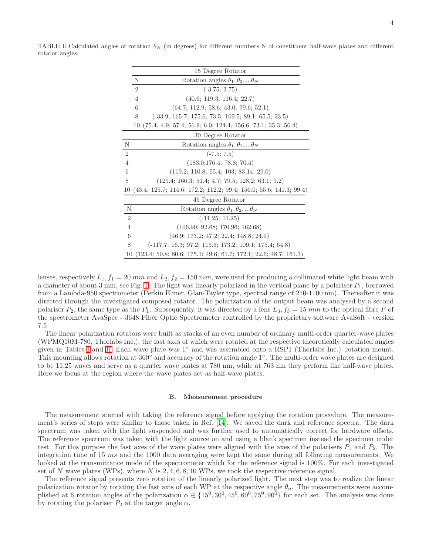<span id="page-3-0"></span>TABLE I: Calculated angles of rotation  $\theta_N$  (in degrees) for different numbers N of constituent half-wave plates and different rotator angles.

|                | 15 Degree Rotator                                                     |
|----------------|-----------------------------------------------------------------------|
|                | N<br>Rotation angles $\theta_1, \theta_2,  \theta_N$                  |
|                | $\overline{2}$<br>$(-3.75; 3.75)$                                     |
|                | (40.6; 119.3; 116.4; 22.7)<br>$\overline{4}$                          |
|                | 6<br>(64.7; 112.9; 58.6; 43.0; 99.6; 52.1)                            |
|                | $(-33.9; 165.7; 175.6; 73.5; 169.5; 89.1; 65.5; 33.5)$<br>8           |
|                | $(75.4; 4.9; 57.4; 56.9; 6.0; 124.4; 156.6; 73.1; 35.3; 56.4)$<br>10  |
|                | 30 Degree Rotator                                                     |
| N              | Rotation angles $\theta_1, \theta_2,  \theta_N$                       |
| $\overline{2}$ | $(-7.5; 7.5)$                                                         |
| 4              | (183.0; 176.4; 78.8; 70.4)                                            |
| 6              | $(119.2; 110.8; 55.4; 103; 83.14; 29.0)$                              |
| 8              | $(129.4; 166.3; 51.4; 4.7; 79.5; 128.2; 63.1; 9.2)$                   |
|                | 10 (43.4; 125.7; 114.6; 172.2; 112.2; 99.4; 156.0; 55.6; 141.3; 99.4) |
|                | 45 Degree Rotator                                                     |
| $\mathbf N$    | Rotation angles $\theta_1, \theta_2,  \theta_N$                       |
| $\overline{2}$ | $(-11.25; 11.25)$                                                     |
| $\overline{4}$ | (106.90; 92.68; 170.96; 162.68)                                       |
| 6              | $(46.9; 173.2; 47.2; 22.4; 148.8; 24.9)$                              |
| 8              | $(-117.7; 16.3; 97.2; 115.5; 173.2; 109.1; 175.4; 64.8)$              |
| 10             | $(123.4; 50.8; 80.6; 175.1; 49.6; 61.7; 172.1; 22.6; 48.7; 161.3)$    |

lenses, respectively  $L_1$ ,  $f_1 = 20$  mm and  $L_2$ ,  $f_2 = 150$  mm, were used for producing a collimated white light beam with a diameter of about 3 mm, see Fig. [1.](#page-1-1) The light was linearly polarized in the vertical plane by a polariser  $P_1$ , borrowed from a Lambda-950 spectrometer (Perkin Elmer, Glan-Tayler type, spectral range of 210-1100 nm). Thereafter it was directed through the investigated composed rotator. The polarization of the output beam was analysed by a second polariser  $P_2$ , the same type as the  $P_1$ . Subsequently, it was directed by a lens  $L_3$ ,  $f_3 = 15$  mm to the optical fibre F of the spectrometer AvaSpec - 3648 Fiber Optic Spectrometer controlled by the proprietary software AvaSoft - version 7.5.

The linear polarization rotators were built as stacks of an even number of ordinary multi-order quarter-wave plates (WPMQ10M-780, Thorlabs Inc.), the fast axes of which were rotated at the respective theoretically calculated angles given in Tables [I](#page-3-0) and [II.](#page-4-0) Each wave plate was 1" and was assembled onto a RSP1 (Thorlabs Inc.) rotation mount. This mounting allows rotation at 360◦ and accuracy of the rotation angle 1◦ . The multi-order wave plates are designed to be 11.25 waves and serve as a quarter wave plates at 780 nm, while at 763 nm they perform like half-wave plates. Here we focus at the region where the wave plates act as half-wave plates.

### B. Measurement procedure

The measurement started with taking the reference signal before applying the rotation procedure. The measurement's series of steps were similar to those taken in Ref. [\[14](#page-6-6)]. We saved the dark and reference spectra. The dark spectrum was taken with the light suspended and was further used to automatically correct for hardware offsets. The reference spectrum was taken with the light source on and using a blank specimen instead the specimen under test. For this purpose the fast axes of the wave plates were aligned with the axes of the polarisers  $P_1$  and  $P_2$ . The integration time of 15 ms and the 1000 data averaging were kept the same during all following measurements. We looked at the transmittance mode of the spectrometer which for the reference signal is 100%. For each investigated set of N wave plates (WPs), where N is  $2, 4, 6, 8, 10$  WPs, we took the respective reference signal.

The reference signal presents zero rotation of the linearly polarized light. The next step was to realize the linear polarization rotator by rotating the fast axis of each WP at the respective angle  $\theta_n$ . The measurements were accomplished at 6 rotation angles of the polarization  $\alpha \in \{15^0, 30^0, 45^0, 60^0, 75^0, 90^0\}$  for each set. The analysis was done by rotating the polariser  $P_2$  at the target angle  $\alpha$ .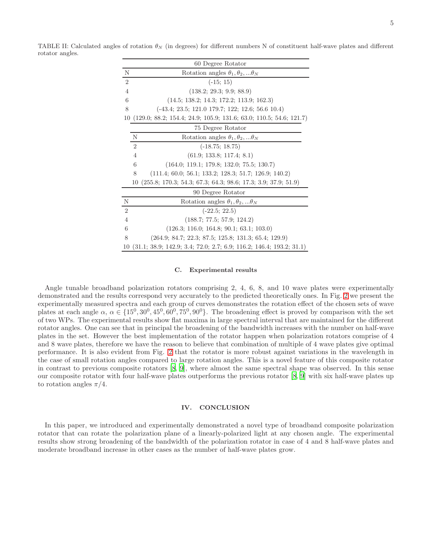<span id="page-4-0"></span>TABLE II: Calculated angles of rotation  $\theta_N$  (in degrees) for different numbers N of constituent half-wave plates and different rotator angles.

|                | 60 Degree Rotator                                                     |
|----------------|-----------------------------------------------------------------------|
| N              | Rotation angles $\theta_1, \theta_2,  \theta_N$                       |
| $\overline{2}$ | $(-15; 15)$                                                           |
| $\overline{4}$ | (138.2; 29.3; 9.9; 88.9)                                              |
| 6              | $(14.5; 138.2; 14.3; 172.2; 113.9; 162.3)$                            |
| 8              | $(-43.4; 23.5; 121.0 179.7; 122; 12.6; 56.6 10.4)$                    |
|                | 10 (129.0; 88.2; 154.4; 24.9; 105.9; 131.6; 63.0; 110.5; 54.6; 121.7) |
|                | 75 Degree Rotator                                                     |
|                | N<br>Rotation angles $\theta_1, \theta_2,  \theta_N$                  |
|                | $\overline{2}$<br>$(-18.75; 18.75)$                                   |
|                | (61.9; 133.8; 117.4; 8.1)<br>$\overline{4}$                           |
|                | 6<br>$(164.0; 119.1; 179.8; 132.0; 75.5; 130.7)$                      |
|                | 8<br>$(111.4; 60.0; 56.1; 133.2; 128.3; 51.7; 126.9; 140.2)$          |
|                | $(255.8; 170.3; 54.3; 67.3; 64.3; 98.6; 17.3; 3.9; 37.9; 51.9)$<br>10 |
|                | 90 Degree Rotator                                                     |
| N              | Rotation angles $\theta_1, \theta_2,  \theta_N$                       |
| $\overline{2}$ | $(-22.5; 22.5)$                                                       |
| $\overline{4}$ | (188.7; 77.5; 57.9; 124.2)                                            |
| 6              | $(126.3; 116.0; 164.8; 90.1; 63.1; 103.0)$                            |
| 8              | $(264.9; 84.7; 22.3; 87.5; 125.8; 131.3; 65.4; 129.9)$                |
| 10             | $(31.1; 38.9; 142.9; 3.4; 72.0; 2.7; 6.9; 116.2; 146.4; 193.2; 31.1)$ |

### C. Experimental results

Angle tunable broadband polarization rotators comprising 2, 4, 6, 8, and 10 wave plates were experimentally demonstrated and the results correspond very accurately to the predicted theoretically ones. In Fig. [2](#page-5-6) we present the experimentally measured spectra and each group of curves demonstrates the rotation effect of the chosen sets of wave plates at each angle  $\alpha$ ,  $\alpha \in \{15^0, 30^0, 45^0, 60^0, 75^0, 90^0\}$ . The broadening effect is proved by comparison with the set of two WPs. The experimental results show flat maxima in large spectral interval that are maintained for the different rotator angles. One can see that in principal the broadening of the bandwidth increases with the number on half-wave plates in the set. However the best implementation of the rotator happen when polarization rotators comprise of 4 and 8 wave plates, therefore we have the reason to believe that combination of multiple of 4 wave plates give optimal performance. It is also evident from Fig. [2](#page-5-6) that the rotator is more robust against variations in the wavelength in the case of small rotation angles compared to large rotation angles. This is a novel feature of this composite rotator in contrast to previous composite rotators [\[8](#page-6-1), [9\]](#page-6-2), where almost the same spectral shape was observed. In this sense our composite rotator with four half-wave plates outperforms the previous rotator [\[8](#page-6-1), [9](#page-6-2)] with six half-wave plates up to rotation angles  $\pi/4$ .

## IV. CONCLUSION

In this paper, we introduced and experimentally demonstrated a novel type of broadband composite polarization rotator that can rotate the polarization plane of a linearly-polarized light at any chosen angle. The experimental results show strong broadening of the bandwidth of the polarization rotator in case of 4 and 8 half-wave plates and moderate broadband increase in other cases as the number of half-wave plates grow.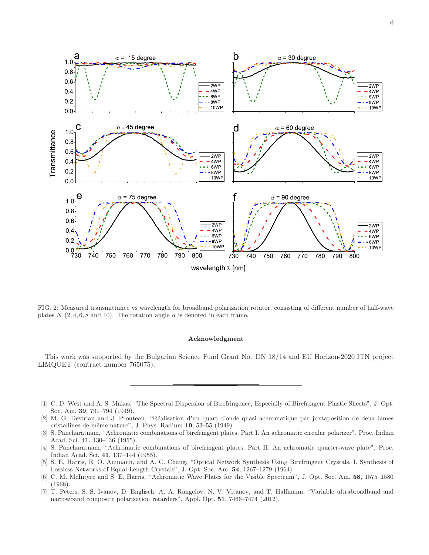

<span id="page-5-6"></span>FIG. 2: Measured transmittance vs wavelength for broadband polarization rotator, consisting of different number of half-wave plates  $N$  (2, 4, 6, 8 and 10). The rotation angle  $\alpha$  is denoted in each frame.

## Acknowledgment

This work was supported by the Bulgarian Science Fund Grant No. DN 18/14 and EU Horizon-2020 ITN project LIMQUET (contract number 765075).

- <span id="page-5-0"></span>[1] C. D. West and A. S. Makas, "The Spectral Dispersion of Birefringence, Especially of Birefringent Plastic Sheets", J. Opt. Soc. Am. 39, 791–794 (1949).
- <span id="page-5-1"></span>[2] M. G. Destriau and J. Prouteau, "R´ealisation d'un quart d'onde quasi achromatique par juxtaposition de deux lames cristallines de même nature", J. Phys. Radium  $10$ , 53–55 (1949).
- [3] S. Pancharatnam, "Achromatic combinations of birefringent plates. Part I. An achromatic circular polarizer", Proc. Indian Acad. Sci. 41, 130–136 (1955).
- <span id="page-5-2"></span>[4] S. Pancharatnam, "Achromatic combinations of birefringent plates. Part II. An achromatic quarter-wave plate", Proc. Indian Acad. Sci. 41, 137–144 (1955).
- <span id="page-5-3"></span>[5] S. E. Harris, E. O. Ammann, and A. C. Chang, "Optical Network Synthesis Using Birefringent Crystals. I. Synthesis of Lossless Networks of Equal-Length Crystals", J. Opt. Soc. Am. 54, 1267–1279 (1964).
- <span id="page-5-4"></span>[6] C. M. McIntyre and S. E. Harris, "Achromatic Wave Plates for the Visible Spectrum", J. Opt. Soc. Am. 58, 1575–1580 (1968).
- <span id="page-5-5"></span>[7] T. Peters, S. S. Ivanov, D. Englisch, A. A. Rangelov, N. V. Vitanov, and T. Halfmann, "Variable ultrabroadband and narrowband composite polarization retarders", Appl. Opt. 51, 7466–7474 (2012).